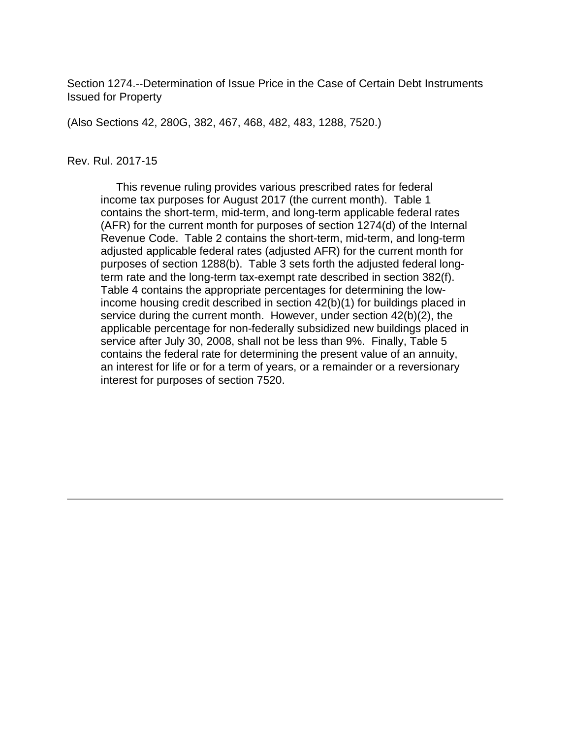Section 1274.--Determination of Issue Price in the Case of Certain Debt Instruments Issued for Property

(Also Sections 42, 280G, 382, 467, 468, 482, 483, 1288, 7520.)

#### Rev. Rul. 2017-15

 This revenue ruling provides various prescribed rates for federal income tax purposes for August 2017 (the current month). Table 1 contains the short-term, mid-term, and long-term applicable federal rates (AFR) for the current month for purposes of section 1274(d) of the Internal Revenue Code. Table 2 contains the short-term, mid-term, and long-term adjusted applicable federal rates (adjusted AFR) for the current month for purposes of section 1288(b). Table 3 sets forth the adjusted federal longterm rate and the long-term tax-exempt rate described in section 382(f). Table 4 contains the appropriate percentages for determining the lowincome housing credit described in section 42(b)(1) for buildings placed in service during the current month. However, under section 42(b)(2), the applicable percentage for non-federally subsidized new buildings placed in service after July 30, 2008, shall not be less than 9%. Finally, Table 5 contains the federal rate for determining the present value of an annuity, an interest for life or for a term of years, or a remainder or a reversionary interest for purposes of section 7520.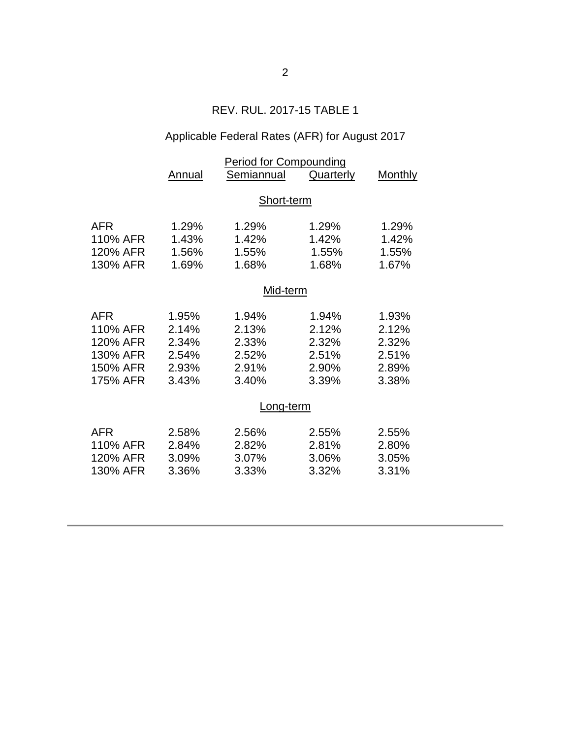## REV. RUL. 2017-15 TABLE 1

# Applicable Federal Rates (AFR) for August 2017

|          | <b>Period for Compounding</b> |            |           |         |  |  |  |
|----------|-------------------------------|------------|-----------|---------|--|--|--|
|          | Annual                        | Semiannual | Quarterly | Monthly |  |  |  |
|          |                               |            |           |         |  |  |  |
|          |                               | Short-term |           |         |  |  |  |
| AFR      | 1.29%                         | 1.29%      | 1.29%     | 1.29%   |  |  |  |
| 110% AFR | 1.43%                         | 1.42%      | 1.42%     | 1.42%   |  |  |  |
| 120% AFR | 1.56%                         | 1.55%      | 1.55%     | 1.55%   |  |  |  |
| 130% AFR | 1.69%                         | 1.68%      | 1.68%     | 1.67%   |  |  |  |
|          | Mid-term                      |            |           |         |  |  |  |
|          |                               |            |           |         |  |  |  |
| AFR      | 1.95%                         | 1.94%      | 1.94%     | 1.93%   |  |  |  |
| 110% AFR | 2.14%                         | 2.13%      | 2.12%     | 2.12%   |  |  |  |
| 120% AFR | 2.34%                         | 2.33%      | 2.32%     | 2.32%   |  |  |  |
| 130% AFR | 2.54%                         | 2.52%      | 2.51%     | 2.51%   |  |  |  |
| 150% AFR | 2.93%                         | 2.91%      | 2.90%     | 2.89%   |  |  |  |
| 175% AFR | 3.43%                         | 3.40%      | 3.39%     | 3.38%   |  |  |  |
|          | Long-term                     |            |           |         |  |  |  |
| AFR      | 2.58%                         | 2.56%      | 2.55%     | 2.55%   |  |  |  |
| 110% AFR | 2.84%                         | 2.82%      | 2.81%     | 2.80%   |  |  |  |
| 120% AFR | 3.09%                         | 3.07%      | 3.06%     | 3.05%   |  |  |  |
| 130% AFR | 3.36%                         | 3.33%      | 3.32%     | 3.31%   |  |  |  |
|          |                               |            |           |         |  |  |  |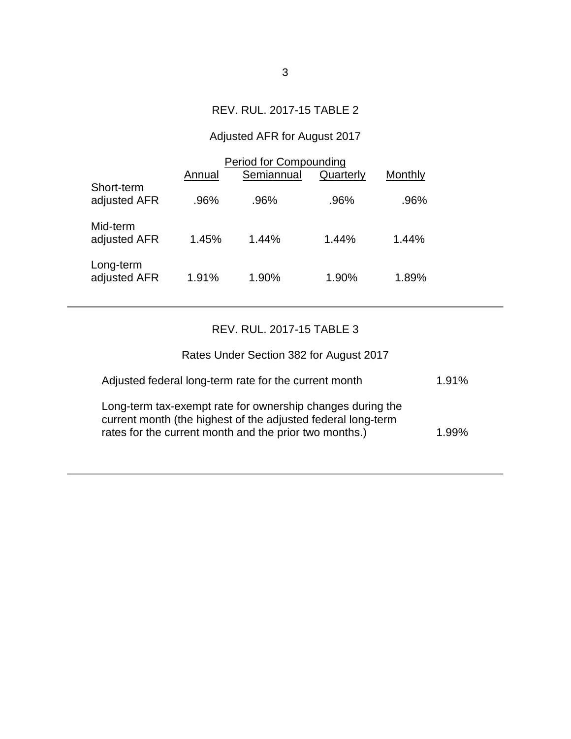## REV. RUL. 2017-15 TABLE 2

# Adjusted AFR for August 2017

|                            | <b>Period for Compounding</b><br>Semiannual<br>Quarterly<br>Monthly<br>Annual |         |       |       |  |
|----------------------------|-------------------------------------------------------------------------------|---------|-------|-------|--|
| Short-term<br>adjusted AFR | .96%                                                                          | $.96\%$ | .96%  | .96%  |  |
| Mid-term<br>adjusted AFR   | 1.45%                                                                         | 1.44%   | 1.44% | 1.44% |  |
| Long-term<br>adjusted AFR  | 1.91%                                                                         | 1.90%   | 1.90% | 1.89% |  |

### REV. RUL. 2017-15 TABLE 3

| Rates Under Section 382 for August 2017                                                                                                                                              |          |
|--------------------------------------------------------------------------------------------------------------------------------------------------------------------------------------|----------|
| Adjusted federal long-term rate for the current month                                                                                                                                | $1.91\%$ |
| Long-term tax-exempt rate for ownership changes during the<br>current month (the highest of the adjusted federal long-term<br>rates for the current month and the prior two months.) | 1.99%    |